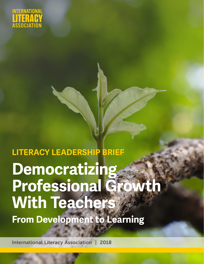

# **Democratizing Professional Growth With Teachers LITERACY LEADERSHIP BRIEF**

**From Development to Learning**

International Literacy Association | 2018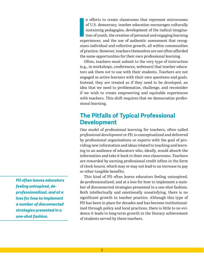In efforts to create classrooms that represent microcosms of U.S. democracy, teacher education encourages culturally sustaining pedagogies, development of the radical imagination of youth, the creation of personal and enga n efforts to create classrooms that represent microcosms of U.S. democracy, teacher education encourages culturally sustaining pedagogies, development of the radical imagination of youth, the creation of personal and engaging learning nizes individual and collective growth, all within communities of practice. However, teachers themselves are not often afforded the same opportunities for their own professional learning.

Often, teachers must submit to the very type of instruction (e.g., in workshops, conferences, webinars) that teacher educators ask them *not* to use with their students. Teachers are not engaged as active learners with their own questions and goals. Instead, they are treated as if they need to be *developed*, an idea that we need to problematize, challenge, and reconsider if we wish to create empowering and equitable experiences with teachers. This shift requires that we democratize professional learning.

# **The Pitfalls of Typical Professional Development**

One model of professional learning for teachers, often called *professional development* or *PD*, is conceptualized and delivered by professional organizations or experts with the goal of providing new information and ideas related to teaching and learning to an audience of educators who, ideally, would absorb the information and take it back to their own classrooms. Teachers are rewarded by earning professional credit (often in the form of clock hours), which may or may not lead to an increase in pay or other tangible benefits.

This kind of PD often leaves educators feeling uninspired, de-professionalized, and at a loss for how to implement a number of disconnected strategies presented in a one-shot fashion. Both intellectually and emotionally unsatisfying, there is no significant growth in teacher practice. Although this type of PD has been in place for decades and has become institutionalized through policy and local practices, there is little to no evidence it leads to long-term growth in the literacy achievement of students served by these teachers.

*PD often leaves educators feeling uninspired, deprofessionalized, and at a loss for how to implement a number of disconnected strategies presented in a one-shot fashion.*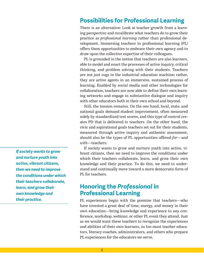# **Possibilities for Professional Learning**

There is an alternative: Look at teacher growth from a learning perspective and recalibrate what teachers do to grow their practice as *professional learning* rather than professional development. Immersing teachers in professional learning (PL) offers them opportunities to embrace their own agency and to draw upon the collective expertise of their colleagues.

PL is grounded in the notion that teachers are also learners, able to model and enact the processes of active inquiry, critical thinking, and problem solving with their students. Teachers are not just cogs in the industrial education machine; rather, they are active agents in an immersive, sustained process of learning. Enabled by social media and other technologies for collaboration, teachers are now able to define their own learning networks and engage in substantive dialogue and inquiry with other educators both in their own school and beyond.

Still, the tension remains. On the one hand, local, state, and national goals demand student improvement, often measured solely by standardized test scores, and this type of control creates PD that is delivered *to* teachers. On the other hand, the civic and aspirational goals teachers set out for their students, measured through active inquiry and authentic assessment, should also be the types of PL opportunities offered *for*—and *with*—teachers.

If society wants to grow and nurture youth into active, vibrant citizens, then we need to improve the conditions under which their teachers collaborate, learn, and grow their own knowledge and their practice. To do this, we need to understand and continually move toward a more democratic form of PL for teachers.

# **Honoring the** *Professional* **in Professional Learning**

PL experiences begin with the premise that teachers—who have invested a great deal of time, energy, and money in their own education—bring knowledge and experience to any conference, workshop, webinar, or other PL event they attend. Just as we would want these teachers to recognize the experiences and abilities of their own learners, so too must teacher educators, literacy coaches, administrators, and others who prepare PL experiences for the educators we serve.

*If society wants to grow and nurture youth into active, vibrant citizens, then we need to improve the conditions under which their teachers collaborate, learn, and grow their own knowledge and their practice.*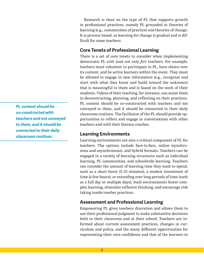Research is clear on the type of PL that supports growth in professional practices, namely PL grounded in theories of learning (e.g., communities of practice) and theories of change. It is process based, as learning for change is gradual and is difficult for some teachers.

## **Core Tenets of Professional Learning**

There is a set of core tenets to consider when implementing democratic PL *with* (and not only *for*) teachers. For example, teachers must volunteer to participate in PL, have choice over its content, and be active learners within the event. They must be allowed to engage in new information (e.g., recognize and start with what they know and build toward the unknown) that is meaningful to them and is based on the work of their students. Videos of their teaching, for instance, can assist them in deconstructing, planning, and reflecting on their practices. PL content should be co-constructed with teachers and not conveyed to them, and it should be connected to their daily classroom routines. The facilitator of the PL should provide opportunities to reflect and engage in conversations with other teachers and with their literacy coaches.

#### **Learning Environments**

Learning environments are also a critical component of PL for teachers. The options include face-to-face, online (synchronous and asynchronous), and hybrid formats. Teachers can be engaged in a variety of learning structures such as individual learning, PL communities, and schoolwide learning. Teachers can consider the amount of learning time they want to spend, such as a short burst (5–15 minutes), a modest investment of time (a few hours), or extending over long periods of time (such as a full day or multiple days). Such environments foster complex learning, stimulate reflexive thinking, and encourage risk taking inside teacher practices.

## **Assessment and Professional Learning**

Empowering PL gives teachers discretion and allows them to use their professional judgment to make substantive decisions both in their classroom and at their school. Teachers are informed about current assessment practices, changes in curriculum and policy, and the many different opportunities for representing their own confidence and that of the learners in

*PL content should be co-constructed with teachers and not conveyed to them, and it should be connected to their daily classroom routines.*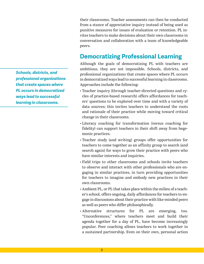their classrooms. Teacher assessments can then be conducted from a stance of appreciative inquiry instead of being used as punitive measures for issues of evaluation or retention. PL invites teachers to make decisions about their own classrooms in conversation and collaboration with a team of knowledgeable peers.

# **Democratizing Professional Learning**

Although the goals of democratizing PL with teachers are ambitious, they are not impossible. Schools, districts, and professional organizations that create spaces where PL occurs in democratized ways lead to successful learning in classrooms. Approaches include the following:

- Teacher inquiry (through teacher-directed questions and cycles of practice-based research) offers affordances for teachers' questions to be explored over time and with a variety of data sources; this invites teachers to understand the roots and rationale of their practice while moving toward critical change in their classrooms.
- Literacy coaching for transformation (versus coaching for fidelity) can support teachers in their shift away from hegemonic practices.
- Teacher study (and writing) groups offer opportunities for teachers to come together as an affinity group to search (and search again) for ways to grow their practice with peers who have similar interests and inquiries.
- Field trips to other classrooms and schools invite teachers to observe and interact with other professionals who are engaging in similar practices, in turn providing opportunities for teachers to imagine and embody new practices in their own classrooms.
- Ambient PL, or PL that takes place within the milieu of a teacher's school, offers ongoing, daily affordances for teachers to engage in discussions about their practice with like-minded peers as well as peers who differ philosophically.
- Alternative structures for PL are emerging, too. "Unconferences," where teachers meet and build their agenda together for a day of PL, have become increasingly popular. Peer coaching allows teachers to work together in a sustained partnership. Even on their own, personal action

*Schools, districts, and professional organizations that create spaces where PL occurs in democratized ways lead to successful learning in classrooms.*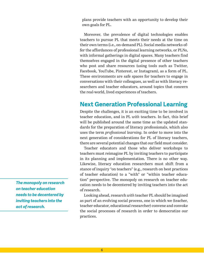plans provide teachers with an opportunity to develop their own goals for PL.

Moreover, the prevalence of digital technologies enables teachers to pursue PL that meets their needs at the time on their own terms (i.e., on-demand PL). Social media networks offer the affordances of professional learning networks, or PLNs, with informal gatherings in digital spaces. Many teachers find themselves engaged in the digital presence of other teachers who post and share resources (using tools such as Twitter, Facebook, YouTube, Pinterest, or Instagram), as a form of PL. These environments are safe spaces for teachers to engage in conversations with their colleagues, as well as with literacy researchers and teacher educators, around topics that concern the real-world, lived experiences of teachers.

# **Next Generation Professional Learning**

Despite the challenges, it is an exciting time to be involved in teacher education, and in PL *with* teachers. In fact, this brief will be published around the same time as the updated standards for the preparation of literacy professionals, which also uses the term *professional learning*. In order to move into the next generation of considerations for PL of literacy teachers, there are several potential changes that our field must consider.

Teacher educators and those who deliver workshops to teachers must reimagine PL by inviting teachers to participate in its planning and implementation. There is no other way. Likewise, literacy education researchers must shift from a stance of inquiry "on teachers" (e.g., research on best practices of teacher education) to a "with" or "within teacher education" perspective. The monopoly on research on teacher education needs to be decentered by inviting teachers into the act of research.

Looking ahead, research *with* teacher PL should be imagined as part of an evolving social process, one in which we (teacher, teacher educator, educational researcher) convene and convoke the social processes of research in order to democratize our practices.

*The monopoly on research on teacher education needs to be decentered by inviting teachers into the act of research.*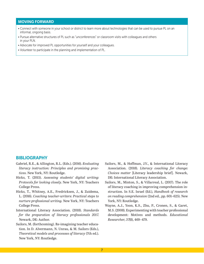#### **MOVING FORWARD**

- Connect with someone in your school or district to learn more about technologies that can be used to pursue PL on an informal, ongoing basis.
- Pursue alternative structures of PL such as "unconferences" or classroom visits with colleagues and others in your PLN.
- Advocate for improved PL opportunities for yourself and your colleagues.
- Volunteer to participate in the planning and implementation of PL.

#### **BIBLIOGRAPHY**

- Gabriel, R.E., & Allington, R.L. (Eds.). (2016). *Evaluating literacy instruction: Principles and promising practices.* New York, NY: Routledge.
- Hicks, T. (2015). *Assessing students' digital writing: Protocols for looking closely.* New York, NY: Teachers College Press.
- Hicks, T., Whitney, A.E., Fredricksen, J., & Zuidema, L. (2016). *Coaching teacher-writers: Practical steps to nurture professional writing.* New York, NY: Teachers College Press.
- International Literacy Association. (2018). *Standards for the preparation of literacy professionals 201*7. Newark, DE: Author.
- Sailors, M. (forthcoming). Re-imagining teacher education. In D. Alvermann, N. Unrau, & M. Sailors (Eds.), *Theoretical models and processes of literacy* (7th ed.). New York, NY: Routledge.
- Sailors, M., & Hoffman, J.V., & International Literacy Association. (2018). *Literacy coaching for change: Choices matter* [Literacy leadership brief]. Newark, DE: International Literacy Association.
- Sailors, M., Minton, S., & Villarreal, L. (2017). The role of literacy coaching in improving comprehension instruction. In S.E. Israel (Ed.), *Handbook of research on reading comprehension* (2nd ed., pp. 601–625). New York, NY: Routledge.
- Wayne, A.J., Yoon, K.S., Zhu, P., Cronen, S., & Garet, M.S. (2008). Experimenting with teacher professional development: Motives and methods. *Educational Researcher, 3*7(8), 469–479.